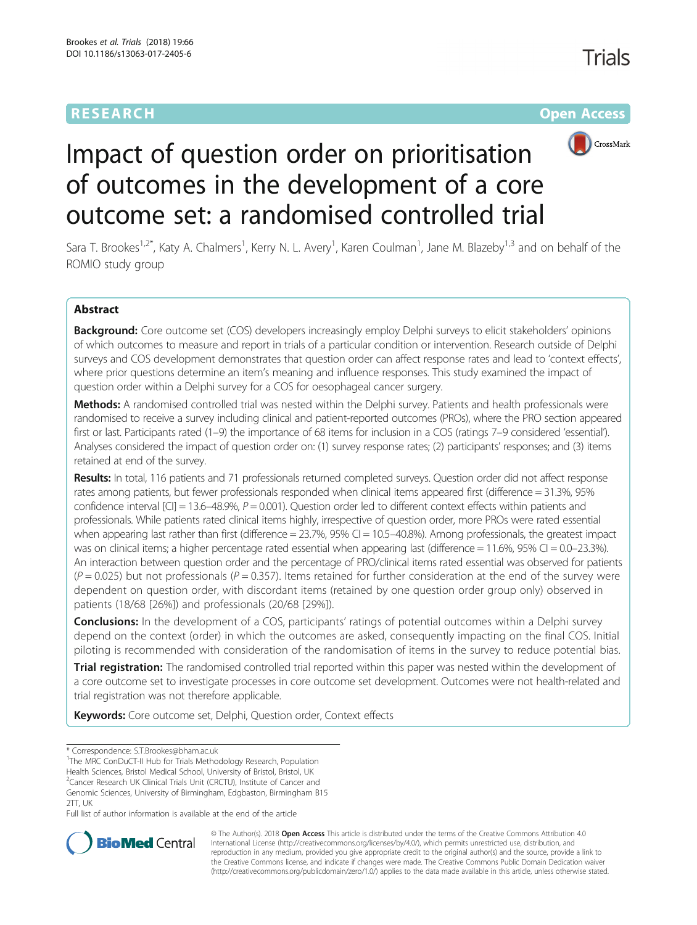# **RESEARCH CHEAR CHEAR CHEAR CHEAR CHEAR CHEAR CHEAR CHEAR CHEAR CHEAR CHEAR CHEAR CHEAR CHEAR CHEAR CHEAR CHEAR**





# Impact of question order on prioritisation of outcomes in the development of a core outcome set: a randomised controlled trial

Sara T. Brookes<sup>1,2\*</sup>, Katy A. Chalmers<sup>1</sup>, Kerry N. L. Avery<sup>1</sup>, Karen Coulman<sup>1</sup>, Jane M. Blazeby<sup>1,3</sup> and on behalf of the ROMIO study group

# Abstract

Background: Core outcome set (COS) developers increasingly employ Delphi surveys to elicit stakeholders' opinions of which outcomes to measure and report in trials of a particular condition or intervention. Research outside of Delphi surveys and COS development demonstrates that question order can affect response rates and lead to 'context effects', where prior questions determine an item's meaning and influence responses. This study examined the impact of question order within a Delphi survey for a COS for oesophageal cancer surgery.

Methods: A randomised controlled trial was nested within the Delphi survey. Patients and health professionals were randomised to receive a survey including clinical and patient-reported outcomes (PROs), where the PRO section appeared first or last. Participants rated (1–9) the importance of 68 items for inclusion in a COS (ratings 7–9 considered 'essential'). Analyses considered the impact of question order on: (1) survey response rates; (2) participants' responses; and (3) items retained at end of the survey.

Results: In total, 116 patients and 71 professionals returned completed surveys. Question order did not affect response rates among patients, but fewer professionals responded when clinical items appeared first (difference = 31.3%, 95% confidence interval  $[CI] = 13.6-48.9\%$ ,  $P = 0.001$ ). Question order led to different context effects within patients and professionals. While patients rated clinical items highly, irrespective of question order, more PROs were rated essential when appearing last rather than first (difference  $= 23.7\%$ , 95% CI  $= 10.5$ –40.8%). Among professionals, the greatest impact was on clinical items; a higher percentage rated essential when appearing last (difference =  $11.6\%$ , 95% CI = 0.0–23.3%). An interaction between question order and the percentage of PRO/clinical items rated essential was observed for patients  $(P = 0.025)$  but not professionals  $(P = 0.357)$ . Items retained for further consideration at the end of the survey were dependent on question order, with discordant items (retained by one question order group only) observed in patients (18/68 [26%]) and professionals (20/68 [29%]).

**Conclusions:** In the development of a COS, participants' ratings of potential outcomes within a Delphi survey depend on the context (order) in which the outcomes are asked, consequently impacting on the final COS. Initial piloting is recommended with consideration of the randomisation of items in the survey to reduce potential bias.

Trial registration: The randomised controlled trial reported within this paper was nested within the development of a core outcome set to investigate processes in core outcome set development. Outcomes were not health-related and trial registration was not therefore applicable.

Keywords: Core outcome set, Delphi, Question order, Context effects

\* Correspondence: [S.T.Brookes@bham.ac.uk](mailto:S.T.Brookes@bham.ac.uk) <sup>1</sup>

<sup>1</sup>The MRC ConDuCT-II Hub for Trials Methodology Research, Population

Health Sciences, Bristol Medical School, University of Bristol, Bristol, UK

<sup>2</sup> Cancer Research UK Clinical Trials Unit (CRCTU), Institute of Cancer and Genomic Sciences, University of Birmingham, Edgbaston, Birmingham B15

2TT, UK

Full list of author information is available at the end of the article



© The Author(s). 2018 Open Access This article is distributed under the terms of the Creative Commons Attribution 4.0 International License [\(http://creativecommons.org/licenses/by/4.0/](http://creativecommons.org/licenses/by/4.0/)), which permits unrestricted use, distribution, and reproduction in any medium, provided you give appropriate credit to the original author(s) and the source, provide a link to the Creative Commons license, and indicate if changes were made. The Creative Commons Public Domain Dedication waiver [\(http://creativecommons.org/publicdomain/zero/1.0/](http://creativecommons.org/publicdomain/zero/1.0/)) applies to the data made available in this article, unless otherwise stated.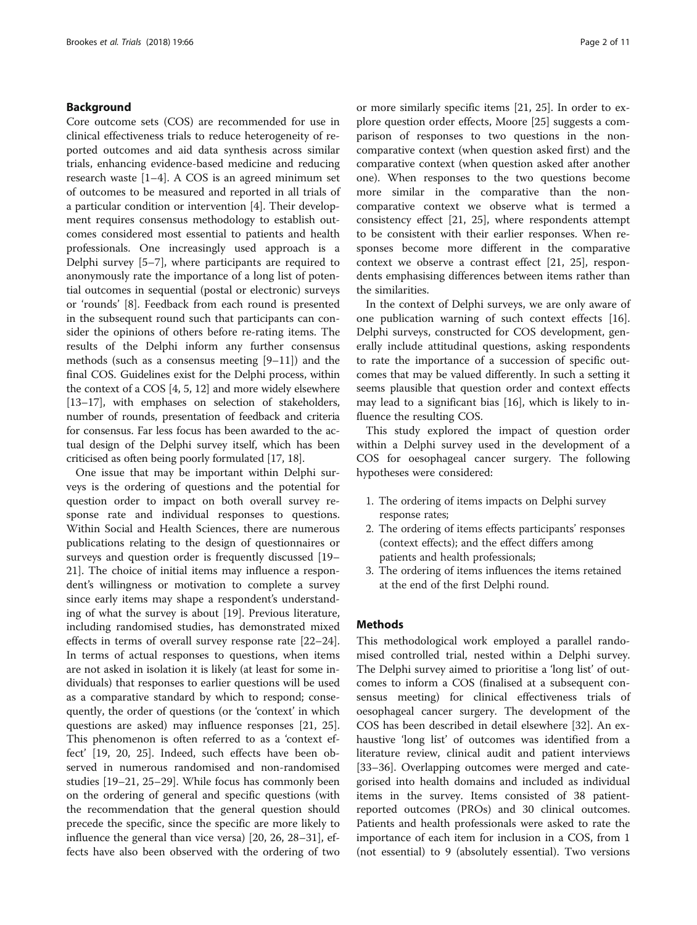## Background

Core outcome sets (COS) are recommended for use in clinical effectiveness trials to reduce heterogeneity of reported outcomes and aid data synthesis across similar trials, enhancing evidence-based medicine and reducing research waste [[1](#page-9-0)–[4](#page-9-0)]. A COS is an agreed minimum set of outcomes to be measured and reported in all trials of a particular condition or intervention [[4\]](#page-9-0). Their development requires consensus methodology to establish outcomes considered most essential to patients and health professionals. One increasingly used approach is a Delphi survey [\[5](#page-9-0)–[7](#page-9-0)], where participants are required to anonymously rate the importance of a long list of potential outcomes in sequential (postal or electronic) surveys or 'rounds' [\[8](#page-9-0)]. Feedback from each round is presented in the subsequent round such that participants can consider the opinions of others before re-rating items. The results of the Delphi inform any further consensus methods (such as a consensus meeting [[9](#page-9-0)–[11](#page-9-0)]) and the final COS. Guidelines exist for the Delphi process, within the context of a COS [\[4](#page-9-0), [5, 12](#page-9-0)] and more widely elsewhere [[13](#page-10-0)–[17\]](#page-10-0), with emphases on selection of stakeholders, number of rounds, presentation of feedback and criteria for consensus. Far less focus has been awarded to the actual design of the Delphi survey itself, which has been criticised as often being poorly formulated [\[17](#page-10-0), [18](#page-10-0)].

One issue that may be important within Delphi surveys is the ordering of questions and the potential for question order to impact on both overall survey response rate and individual responses to questions. Within Social and Health Sciences, there are numerous publications relating to the design of questionnaires or surveys and question order is frequently discussed [[19](#page-10-0)– [21\]](#page-10-0). The choice of initial items may influence a respondent's willingness or motivation to complete a survey since early items may shape a respondent's understanding of what the survey is about [[19\]](#page-10-0). Previous literature, including randomised studies, has demonstrated mixed effects in terms of overall survey response rate [[22](#page-10-0)–[24](#page-10-0)]. In terms of actual responses to questions, when items are not asked in isolation it is likely (at least for some individuals) that responses to earlier questions will be used as a comparative standard by which to respond; consequently, the order of questions (or the 'context' in which questions are asked) may influence responses [[21, 25](#page-10-0)]. This phenomenon is often referred to as a 'context effect' [\[19, 20](#page-10-0), [25\]](#page-10-0). Indeed, such effects have been observed in numerous randomised and non-randomised studies [\[19](#page-10-0)–[21, 25](#page-10-0)–[29](#page-10-0)]. While focus has commonly been on the ordering of general and specific questions (with the recommendation that the general question should precede the specific, since the specific are more likely to influence the general than vice versa) [[20, 26, 28](#page-10-0)–[31](#page-10-0)], effects have also been observed with the ordering of two or more similarly specific items [\[21](#page-10-0), [25\]](#page-10-0). In order to explore question order effects, Moore [[25\]](#page-10-0) suggests a comparison of responses to two questions in the noncomparative context (when question asked first) and the comparative context (when question asked after another one). When responses to the two questions become more similar in the comparative than the noncomparative context we observe what is termed a consistency effect [\[21](#page-10-0), [25\]](#page-10-0), where respondents attempt to be consistent with their earlier responses. When responses become more different in the comparative context we observe a contrast effect [\[21](#page-10-0), [25](#page-10-0)], respondents emphasising differences between items rather than the similarities.

In the context of Delphi surveys, we are only aware of one publication warning of such context effects [\[16](#page-10-0)]. Delphi surveys, constructed for COS development, generally include attitudinal questions, asking respondents to rate the importance of a succession of specific outcomes that may be valued differently. In such a setting it seems plausible that question order and context effects may lead to a significant bias [\[16](#page-10-0)], which is likely to influence the resulting COS.

This study explored the impact of question order within a Delphi survey used in the development of a COS for oesophageal cancer surgery. The following hypotheses were considered:

- 1. The ordering of items impacts on Delphi survey response rates;
- 2. The ordering of items effects participants' responses (context effects); and the effect differs among patients and health professionals;
- 3. The ordering of items influences the items retained at the end of the first Delphi round.

## Methods

This methodological work employed a parallel randomised controlled trial, nested within a Delphi survey. The Delphi survey aimed to prioritise a 'long list' of outcomes to inform a COS (finalised at a subsequent consensus meeting) for clinical effectiveness trials of oesophageal cancer surgery. The development of the COS has been described in detail elsewhere [[32\]](#page-10-0). An exhaustive 'long list' of outcomes was identified from a literature review, clinical audit and patient interviews [[33](#page-10-0)–[36](#page-10-0)]. Overlapping outcomes were merged and categorised into health domains and included as individual items in the survey. Items consisted of 38 patientreported outcomes (PROs) and 30 clinical outcomes. Patients and health professionals were asked to rate the importance of each item for inclusion in a COS, from 1 (not essential) to 9 (absolutely essential). Two versions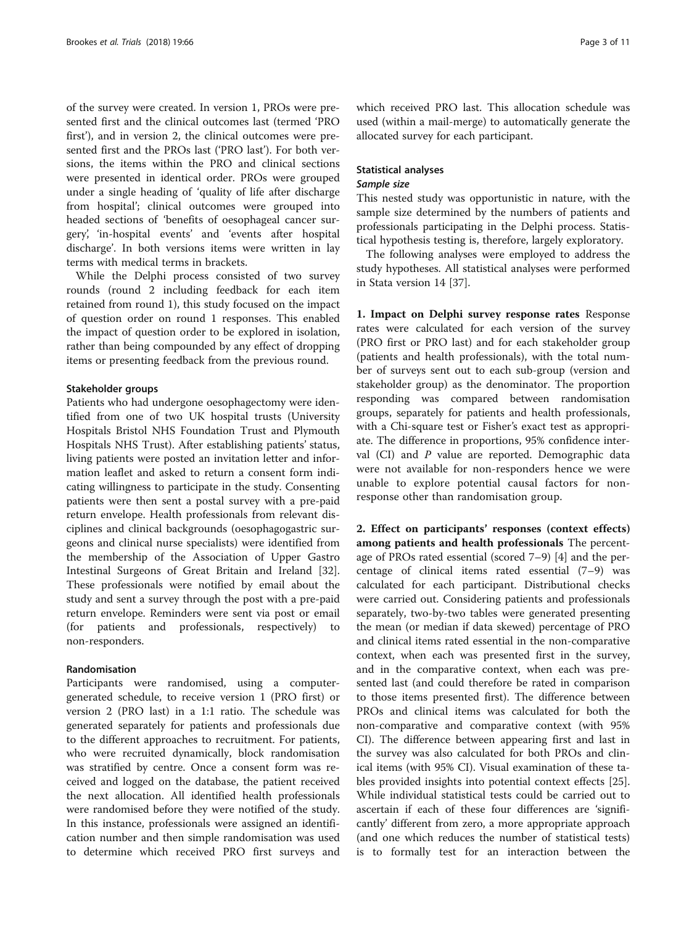of the survey were created. In version 1, PROs were presented first and the clinical outcomes last (termed 'PRO first'), and in version 2, the clinical outcomes were presented first and the PROs last ('PRO last'). For both versions, the items within the PRO and clinical sections were presented in identical order. PROs were grouped under a single heading of 'quality of life after discharge from hospital'; clinical outcomes were grouped into headed sections of 'benefits of oesophageal cancer surgery', 'in-hospital events' and 'events after hospital discharge'. In both versions items were written in lay terms with medical terms in brackets.

While the Delphi process consisted of two survey rounds (round 2 including feedback for each item retained from round 1), this study focused on the impact of question order on round 1 responses. This enabled the impact of question order to be explored in isolation, rather than being compounded by any effect of dropping items or presenting feedback from the previous round.

## Stakeholder groups

Patients who had undergone oesophagectomy were identified from one of two UK hospital trusts (University Hospitals Bristol NHS Foundation Trust and Plymouth Hospitals NHS Trust). After establishing patients' status, living patients were posted an invitation letter and information leaflet and asked to return a consent form indicating willingness to participate in the study. Consenting patients were then sent a postal survey with a pre-paid return envelope. Health professionals from relevant disciplines and clinical backgrounds (oesophagogastric surgeons and clinical nurse specialists) were identified from the membership of the Association of Upper Gastro Intestinal Surgeons of Great Britain and Ireland [\[32](#page-10-0)]. These professionals were notified by email about the study and sent a survey through the post with a pre-paid return envelope. Reminders were sent via post or email (for patients and professionals, respectively) to non-responders.

## Randomisation

Participants were randomised, using a computergenerated schedule, to receive version 1 (PRO first) or version 2 (PRO last) in a 1:1 ratio. The schedule was generated separately for patients and professionals due to the different approaches to recruitment. For patients, who were recruited dynamically, block randomisation was stratified by centre. Once a consent form was received and logged on the database, the patient received the next allocation. All identified health professionals were randomised before they were notified of the study. In this instance, professionals were assigned an identification number and then simple randomisation was used to determine which received PRO first surveys and

which received PRO last. This allocation schedule was used (within a mail-merge) to automatically generate the allocated survey for each participant.

## Statistical analyses

## Sample size

This nested study was opportunistic in nature, with the sample size determined by the numbers of patients and professionals participating in the Delphi process. Statistical hypothesis testing is, therefore, largely exploratory.

The following analyses were employed to address the study hypotheses. All statistical analyses were performed in Stata version 14 [[37\]](#page-10-0).

1. Impact on Delphi survey response rates Response rates were calculated for each version of the survey (PRO first or PRO last) and for each stakeholder group (patients and health professionals), with the total number of surveys sent out to each sub-group (version and stakeholder group) as the denominator. The proportion responding was compared between randomisation groups, separately for patients and health professionals, with a Chi-square test or Fisher's exact test as appropriate. The difference in proportions, 95% confidence interval  $(Cl)$  and  $P$  value are reported. Demographic data were not available for non-responders hence we were unable to explore potential causal factors for nonresponse other than randomisation group.

2. Effect on participants' responses (context effects) among patients and health professionals The percentage of PROs rated essential (scored 7–9) [\[4\]](#page-9-0) and the percentage of clinical items rated essential (7–9) was calculated for each participant. Distributional checks were carried out. Considering patients and professionals separately, two-by-two tables were generated presenting the mean (or median if data skewed) percentage of PRO and clinical items rated essential in the non-comparative context, when each was presented first in the survey, and in the comparative context, when each was presented last (and could therefore be rated in comparison to those items presented first). The difference between PROs and clinical items was calculated for both the non-comparative and comparative context (with 95% CI). The difference between appearing first and last in the survey was also calculated for both PROs and clinical items (with 95% CI). Visual examination of these tables provided insights into potential context effects [\[25](#page-10-0)]. While individual statistical tests could be carried out to ascertain if each of these four differences are 'significantly' different from zero, a more appropriate approach (and one which reduces the number of statistical tests) is to formally test for an interaction between the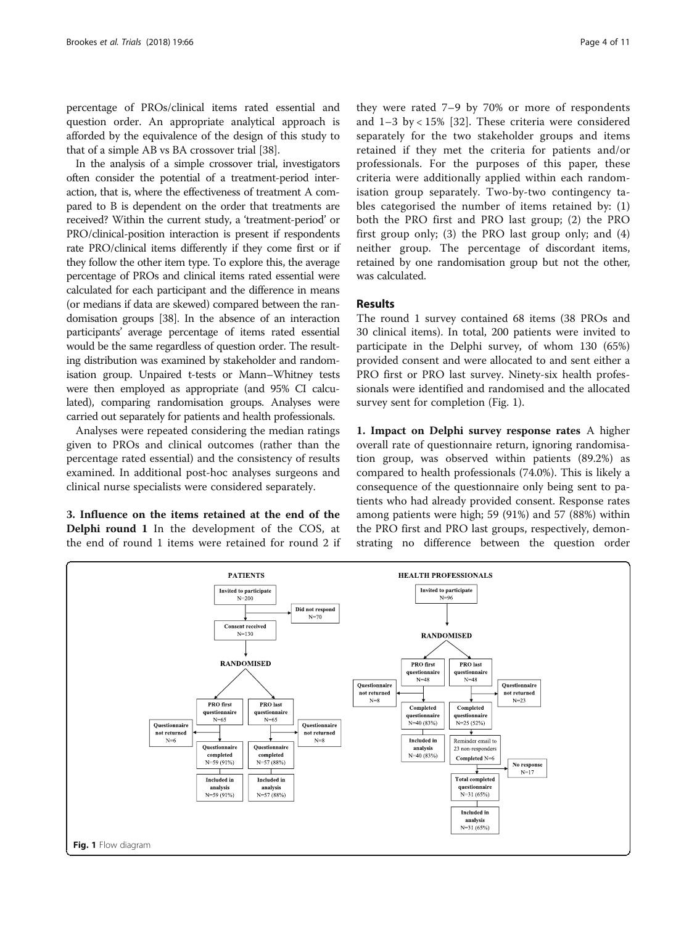percentage of PROs/clinical items rated essential and question order. An appropriate analytical approach is afforded by the equivalence of the design of this study to that of a simple AB vs BA crossover trial [\[38](#page-10-0)].

In the analysis of a simple crossover trial, investigators often consider the potential of a treatment-period interaction, that is, where the effectiveness of treatment A compared to B is dependent on the order that treatments are received? Within the current study, a 'treatment-period' or PRO/clinical-position interaction is present if respondents rate PRO/clinical items differently if they come first or if they follow the other item type. To explore this, the average percentage of PROs and clinical items rated essential were calculated for each participant and the difference in means (or medians if data are skewed) compared between the randomisation groups [\[38](#page-10-0)]. In the absence of an interaction participants' average percentage of items rated essential would be the same regardless of question order. The resulting distribution was examined by stakeholder and randomisation group. Unpaired t-tests or Mann–Whitney tests were then employed as appropriate (and 95% CI calculated), comparing randomisation groups. Analyses were carried out separately for patients and health professionals.

Analyses were repeated considering the median ratings given to PROs and clinical outcomes (rather than the percentage rated essential) and the consistency of results examined. In additional post-hoc analyses surgeons and clinical nurse specialists were considered separately.

3. Influence on the items retained at the end of the Delphi round 1 In the development of the COS, at the end of round 1 items were retained for round 2 if

they were rated 7–9 by 70% or more of respondents and 1–3 by < 15% [\[32](#page-10-0)]. These criteria were considered separately for the two stakeholder groups and items retained if they met the criteria for patients and/or professionals. For the purposes of this paper, these criteria were additionally applied within each randomisation group separately. Two-by-two contingency tables categorised the number of items retained by: (1) both the PRO first and PRO last group; (2) the PRO first group only; (3) the PRO last group only; and (4) neither group. The percentage of discordant items, retained by one randomisation group but not the other, was calculated.

## Results

The round 1 survey contained 68 items (38 PROs and 30 clinical items). In total, 200 patients were invited to participate in the Delphi survey, of whom 130 (65%) provided consent and were allocated to and sent either a PRO first or PRO last survey. Ninety-six health professionals were identified and randomised and the allocated survey sent for completion (Fig. 1).

1. Impact on Delphi survey response rates A higher overall rate of questionnaire return, ignoring randomisation group, was observed within patients (89.2%) as compared to health professionals (74.0%). This is likely a consequence of the questionnaire only being sent to patients who had already provided consent. Response rates among patients were high; 59 (91%) and 57 (88%) within the PRO first and PRO last groups, respectively, demonstrating no difference between the question order

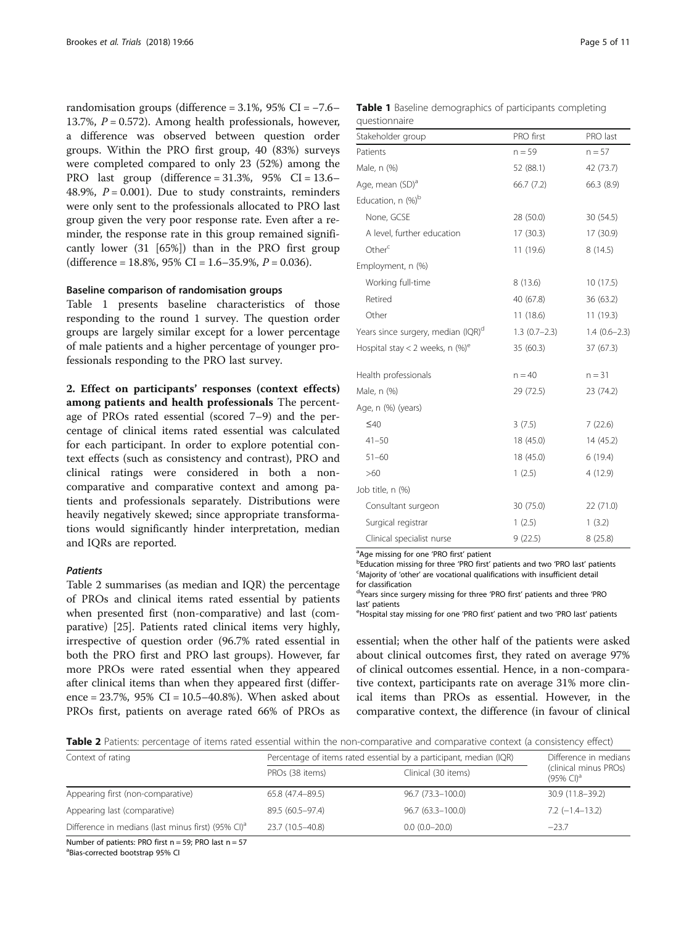<span id="page-4-0"></span>randomisation groups (difference =  $3.1\%$ ,  $95\%$  CI =  $-7.6-$ 13.7%,  $P = 0.572$ ). Among health professionals, however, a difference was observed between question order groups. Within the PRO first group, 40 (83%) surveys were completed compared to only 23 (52%) among the PRO last group (difference =  $31.3\%$ ,  $95\%$  CI =  $13.6-$ 48.9%,  $P = 0.001$ ). Due to study constraints, reminders were only sent to the professionals allocated to PRO last group given the very poor response rate. Even after a reminder, the response rate in this group remained significantly lower (31 [65%]) than in the PRO first group (difference = 18.8%, 95% CI = 1.6–35.9%,  $P = 0.036$ ).

## Baseline comparison of randomisation groups

Table 1 presents baseline characteristics of those responding to the round 1 survey. The question order groups are largely similar except for a lower percentage of male patients and a higher percentage of younger professionals responding to the PRO last survey.

2. Effect on participants' responses (context effects) among patients and health professionals The percentage of PROs rated essential (scored 7–9) and the percentage of clinical items rated essential was calculated for each participant. In order to explore potential context effects (such as consistency and contrast), PRO and clinical ratings were considered in both a noncomparative and comparative context and among patients and professionals separately. Distributions were heavily negatively skewed; since appropriate transformations would significantly hinder interpretation, median and IQRs are reported.

## **Patients**

Table 2 summarises (as median and IQR) the percentage of PROs and clinical items rated essential by patients when presented first (non-comparative) and last (comparative) [[25\]](#page-10-0). Patients rated clinical items very highly, irrespective of question order (96.7% rated essential in both the PRO first and PRO last groups). However, far more PROs were rated essential when they appeared after clinical items than when they appeared first (difference =  $23.7\%$ ,  $95\%$  CI =  $10.5-40.8\%$ ). When asked about PROs first, patients on average rated 66% of PROs as

|               | <b>Table 1</b> Baseline demographics of participants completing |  |  |
|---------------|-----------------------------------------------------------------|--|--|
| questionnaire |                                                                 |  |  |

| Stakeholder group                              | PRO first      | PRO last       |
|------------------------------------------------|----------------|----------------|
| Patients                                       | $n = 59$       | $n = 57$       |
| Male, n (%)                                    | 52 (88.1)      | 42 (73.7)      |
| Age, mean (SD) <sup>a</sup>                    | 66.7 (7.2)     | 66.3 (8.9)     |
| Education, n (%) <sup>b</sup>                  |                |                |
| None, GCSE                                     | 28 (50.0)      | 30(54.5)       |
| A level, further education                     | 17(30.3)       | 17 (30.9)      |
| Other <sup>c</sup>                             | 11 (19.6)      | 8(14.5)        |
| Employment, n (%)                              |                |                |
| Working full-time                              | 8(13.6)        | 10(17.5)       |
| Retired                                        | 40 (67.8)      | 36 (63.2)      |
| Other                                          | 11(18.6)       | 11(19.3)       |
| Years since surgery, median (IQR) <sup>d</sup> | $1.3(0.7-2.3)$ | $1.4(0.6-2.3)$ |
| Hospital stay < 2 weeks, n $(\%)^e$            | 35 (60.3)      | 37 (67.3)      |
| Health professionals                           | $n = 40$       | $n = 31$       |
| Male, n (%)                                    | 29 (72.5)      | 23 (74.2)      |
| Age, n (%) (years)                             |                |                |
| $\leq 40$                                      | 3(7.5)         | 7(22.6)        |
| $41 - 50$                                      | 18 (45.0)      | 14(45.2)       |
| $51 - 60$                                      | 18 (45.0)      | 6(19.4)        |
| $>60$                                          | 1(2.5)         | 4(12.9)        |
| Job title, n (%)                               |                |                |
| Consultant surgeon                             | 30 (75.0)      | 22 (71.0)      |
| Surgical registrar                             | 1(2.5)         | 1(3.2)         |
| Clinical specialist nurse                      | 9(22.5)        | 8(25.8)        |
|                                                |                |                |

<sup>a</sup>Age missing for one 'PRO first' patient<br>**PEducation missing for three 'PRO first'** 

<sup>b</sup>Education missing for three 'PRO first' patients and two 'PRO last' patients Majority of 'other' are vocational qualifications with insufficient detail for classification

<sup>d</sup>Years since surgery missing for three 'PRO first' patients and three 'PRO

last' patients<br><sup>e</sup>Hospital stay missing for one 'PRO first' patient and two 'PRO last' patients

essential; when the other half of the patients were asked about clinical outcomes first, they rated on average 97% of clinical outcomes essential. Hence, in a non-comparative context, participants rate on average 31% more clinical items than PROs as essential. However, in the comparative context, the difference (in favour of clinical

|  | Table 2 Patients: percentage of items rated essential within the non-comparative and comparative context (a consistency effect) |  |
|--|---------------------------------------------------------------------------------------------------------------------------------|--|
|  |                                                                                                                                 |  |

| Context of rating                                              | Percentage of items rated essential by a participant, median (IQR) | Difference in medians |                                                |
|----------------------------------------------------------------|--------------------------------------------------------------------|-----------------------|------------------------------------------------|
|                                                                | PROs (38 items)                                                    | Clinical (30 items)   | (clinical minus PROs)<br>$(95\% \text{ Cl})^d$ |
| Appearing first (non-comparative)                              | 65.8 (47.4-89.5)                                                   | $96.7(73.3 - 100.0)$  | 30.9 (11.8–39.2)                               |
| Appearing last (comparative)                                   | 89.5 (60.5-97.4)                                                   | $96.7(63.3 - 100.0)$  | $7.2$ ( $-1.4-13.2$ )                          |
| Difference in medians (last minus first) (95% CI) <sup>a</sup> | 23.7 (10.5-40.8)                                                   | $0.0(0.0-20.0)$       | $-23.7$                                        |

Number of patients: PRO first  $n = 59$ ; PRO last  $n = 57$ 

a Bias-corrected bootstrap 95% CI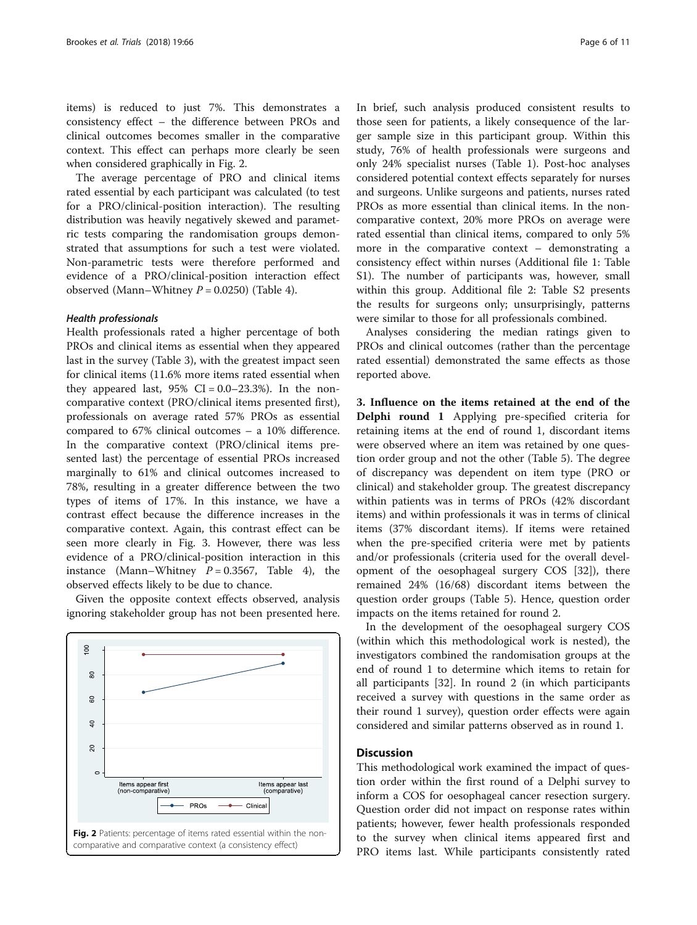items) is reduced to just 7%. This demonstrates a consistency effect – the difference between PROs and clinical outcomes becomes smaller in the comparative context. This effect can perhaps more clearly be seen when considered graphically in Fig. 2.

The average percentage of PRO and clinical items rated essential by each participant was calculated (to test for a PRO/clinical-position interaction). The resulting distribution was heavily negatively skewed and parametric tests comparing the randomisation groups demonstrated that assumptions for such a test were violated. Non-parametric tests were therefore performed and evidence of a PRO/clinical-position interaction effect observed (Mann–Whitney  $P = 0.0250$ ) (Table [4\)](#page-7-0).

### Health professionals

Health professionals rated a higher percentage of both PROs and clinical items as essential when they appeared last in the survey (Table [3](#page-6-0)), with the greatest impact seen for clinical items (11.6% more items rated essential when they appeared last,  $95\%$  CI = 0.0–23.3%). In the noncomparative context (PRO/clinical items presented first), professionals on average rated 57% PROs as essential compared to 67% clinical outcomes – a 10% difference. In the comparative context (PRO/clinical items presented last) the percentage of essential PROs increased marginally to 61% and clinical outcomes increased to 78%, resulting in a greater difference between the two types of items of 17%. In this instance, we have a contrast effect because the difference increases in the comparative context. Again, this contrast effect can be seen more clearly in Fig. [3.](#page-6-0) However, there was less evidence of a PRO/clinical-position interaction in this instance (Mann–Whitney  $P = 0.3567$ , Table [4\)](#page-7-0), the observed effects likely to be due to chance.

Given the opposite context effects observed, analysis ignoring stakeholder group has not been presented here.



In brief, such analysis produced consistent results to those seen for patients, a likely consequence of the larger sample size in this participant group. Within this study, 76% of health professionals were surgeons and only 24% specialist nurses (Table [1](#page-4-0)). Post-hoc analyses considered potential context effects separately for nurses and surgeons. Unlike surgeons and patients, nurses rated PROs as more essential than clinical items. In the noncomparative context, 20% more PROs on average were rated essential than clinical items, compared to only 5% more in the comparative context – demonstrating a consistency effect within nurses (Additional file [1:](#page-8-0) Table S1). The number of participants was, however, small within this group. Additional file [2](#page-8-0): Table S2 presents the results for surgeons only; unsurprisingly, patterns were similar to those for all professionals combined.

Analyses considering the median ratings given to PROs and clinical outcomes (rather than the percentage rated essential) demonstrated the same effects as those reported above.

3. Influence on the items retained at the end of the Delphi round 1 Applying pre-specified criteria for retaining items at the end of round 1, discordant items were observed where an item was retained by one question order group and not the other (Table [5](#page-7-0)). The degree of discrepancy was dependent on item type (PRO or clinical) and stakeholder group. The greatest discrepancy within patients was in terms of PROs (42% discordant items) and within professionals it was in terms of clinical items (37% discordant items). If items were retained when the pre-specified criteria were met by patients and/or professionals (criteria used for the overall development of the oesophageal surgery COS [[32](#page-10-0)]), there remained 24% (16/68) discordant items between the question order groups (Table [5\)](#page-7-0). Hence, question order impacts on the items retained for round 2.

In the development of the oesophageal surgery COS (within which this methodological work is nested), the investigators combined the randomisation groups at the end of round 1 to determine which items to retain for all participants [\[32](#page-10-0)]. In round 2 (in which participants received a survey with questions in the same order as their round 1 survey), question order effects were again considered and similar patterns observed as in round 1.

## **Discussion**

This methodological work examined the impact of question order within the first round of a Delphi survey to inform a COS for oesophageal cancer resection surgery. Question order did not impact on response rates within patients; however, fewer health professionals responded to the survey when clinical items appeared first and PRO items last. While participants consistently rated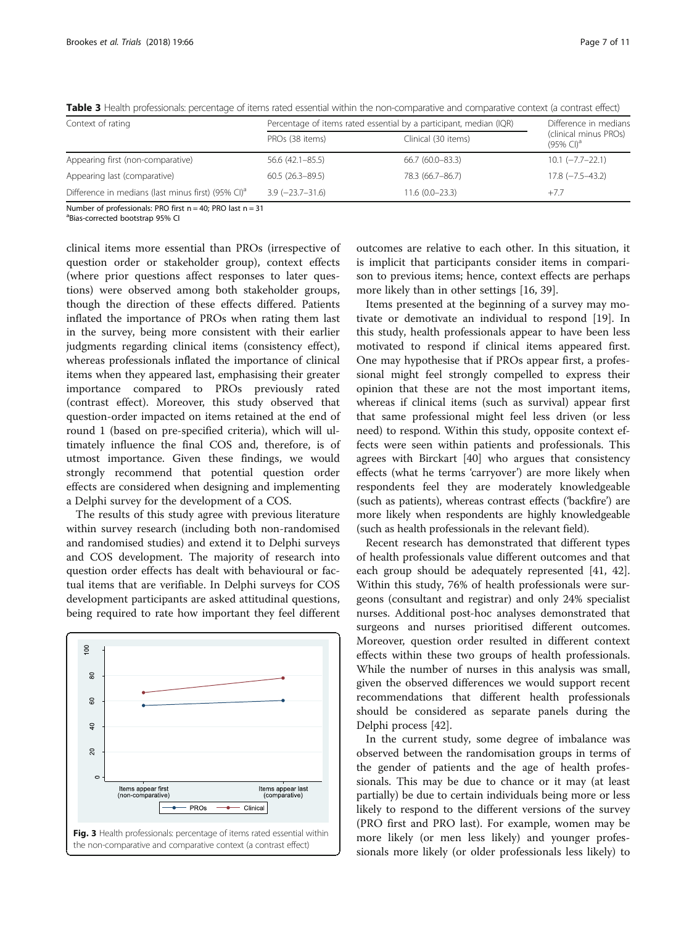| Context of rating                                              | Percentage of items rated essential by a participant, median (IQR) | Difference in medians |                                                |  |
|----------------------------------------------------------------|--------------------------------------------------------------------|-----------------------|------------------------------------------------|--|
|                                                                | PROs (38 items)                                                    | Clinical (30 items)   | (clinical minus PROs)<br>$(95\% \text{ Cl})^d$ |  |
| Appearing first (non-comparative)                              | $56.6(42.1 - 85.5)$                                                | $66.7(60.0-83.3)$     | $10.1 (-7.7 - 22.1)$                           |  |
| Appearing last (comparative)                                   | $60.5(26.3-89.5)$                                                  | 78.3 (66.7-86.7)      | $17.8$ ( $-7.5 - 43.2$ )                       |  |
| Difference in medians (last minus first) (95% CI) <sup>a</sup> | $3.9$ (-23.7-31.6)                                                 | $11.6(0.0-23.3)$      | $+7.7$                                         |  |

<span id="page-6-0"></span>Table 3 Health professionals: percentage of items rated essential within the non-comparative and comparative context (a contrast effect)

Number of professionals: PRO first n = 40; PRO last n = 31

<sup>a</sup>Bias-corrected bootstrap 95% CI

clinical items more essential than PROs (irrespective of question order or stakeholder group), context effects (where prior questions affect responses to later questions) were observed among both stakeholder groups, though the direction of these effects differed. Patients inflated the importance of PROs when rating them last in the survey, being more consistent with their earlier judgments regarding clinical items (consistency effect), whereas professionals inflated the importance of clinical items when they appeared last, emphasising their greater importance compared to PROs previously rated (contrast effect). Moreover, this study observed that question-order impacted on items retained at the end of round 1 (based on pre-specified criteria), which will ultimately influence the final COS and, therefore, is of utmost importance. Given these findings, we would strongly recommend that potential question order effects are considered when designing and implementing a Delphi survey for the development of a COS.

The results of this study agree with previous literature within survey research (including both non-randomised and randomised studies) and extend it to Delphi surveys and COS development. The majority of research into question order effects has dealt with behavioural or factual items that are verifiable. In Delphi surveys for COS development participants are asked attitudinal questions, being required to rate how important they feel different



outcomes are relative to each other. In this situation, it is implicit that participants consider items in comparison to previous items; hence, context effects are perhaps more likely than in other settings [\[16](#page-10-0), [39\]](#page-10-0).

Items presented at the beginning of a survey may motivate or demotivate an individual to respond [[19\]](#page-10-0). In this study, health professionals appear to have been less motivated to respond if clinical items appeared first. One may hypothesise that if PROs appear first, a professional might feel strongly compelled to express their opinion that these are not the most important items, whereas if clinical items (such as survival) appear first that same professional might feel less driven (or less need) to respond. Within this study, opposite context effects were seen within patients and professionals. This agrees with Birckart [[40\]](#page-10-0) who argues that consistency effects (what he terms 'carryover') are more likely when respondents feel they are moderately knowledgeable (such as patients), whereas contrast effects ('backfire') are more likely when respondents are highly knowledgeable (such as health professionals in the relevant field).

Recent research has demonstrated that different types of health professionals value different outcomes and that each group should be adequately represented [[41, 42](#page-10-0)]. Within this study, 76% of health professionals were surgeons (consultant and registrar) and only 24% specialist nurses. Additional post-hoc analyses demonstrated that surgeons and nurses prioritised different outcomes. Moreover, question order resulted in different context effects within these two groups of health professionals. While the number of nurses in this analysis was small, given the observed differences we would support recent recommendations that different health professionals should be considered as separate panels during the Delphi process [\[42](#page-10-0)].

In the current study, some degree of imbalance was observed between the randomisation groups in terms of the gender of patients and the age of health professionals. This may be due to chance or it may (at least partially) be due to certain individuals being more or less likely to respond to the different versions of the survey (PRO first and PRO last). For example, women may be more likely (or men less likely) and younger professionals more likely (or older professionals less likely) to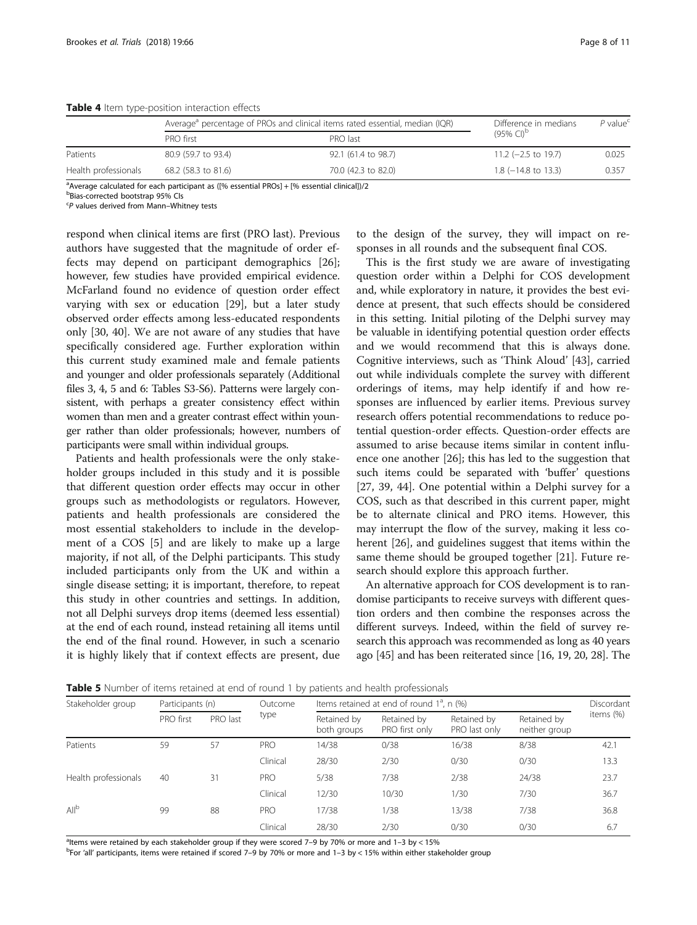|                      | Average <sup>a</sup> percentage of PROs and clinical items rated essential, median (IQR) | Difference in medians | $P$ value <sup>c</sup>   |       |
|----------------------|------------------------------------------------------------------------------------------|-----------------------|--------------------------|-------|
|                      | PRO first                                                                                | PRO last              | $(95\%$ CI) <sup>b</sup> |       |
| Patients             | 80.9 (59.7 to 93.4)                                                                      | 92.1 (61.4 to 98.7)   | 11.2 ( $-2.5$ to 19.7)   | 0.025 |
| Health professionals | 68.2 (58.3 to 81.6)                                                                      | 70.0 (42.3 to 82.0)   | $1.8$ (-14.8 to 13.3)    | 0.357 |

#### <span id="page-7-0"></span>Table 4 Item type-position interaction effects

<sup>a</sup>Average calculated for each participant as ([% essential PROs] + [% essential clinical])/2

**<sup>b</sup>Bias-corrected bootstrap 95% CIs** 

<sup>c</sup>P values derived from Mann-Whitney tests

respond when clinical items are first (PRO last). Previous authors have suggested that the magnitude of order effects may depend on participant demographics [\[26](#page-10-0)]; however, few studies have provided empirical evidence. McFarland found no evidence of question order effect varying with sex or education [[29\]](#page-10-0), but a later study observed order effects among less-educated respondents only [[30, 40\]](#page-10-0). We are not aware of any studies that have specifically considered age. Further exploration within this current study examined male and female patients and younger and older professionals separately (Additional files [3, 4](#page-8-0), [5](#page-8-0) and [6](#page-8-0): Tables S3-S6). Patterns were largely consistent, with perhaps a greater consistency effect within women than men and a greater contrast effect within younger rather than older professionals; however, numbers of participants were small within individual groups.

Patients and health professionals were the only stakeholder groups included in this study and it is possible that different question order effects may occur in other groups such as methodologists or regulators. However, patients and health professionals are considered the most essential stakeholders to include in the development of a COS [\[5](#page-9-0)] and are likely to make up a large majority, if not all, of the Delphi participants. This study included participants only from the UK and within a single disease setting; it is important, therefore, to repeat this study in other countries and settings. In addition, not all Delphi surveys drop items (deemed less essential) at the end of each round, instead retaining all items until the end of the final round. However, in such a scenario it is highly likely that if context effects are present, due

to the design of the survey, they will impact on responses in all rounds and the subsequent final COS.

This is the first study we are aware of investigating question order within a Delphi for COS development and, while exploratory in nature, it provides the best evidence at present, that such effects should be considered in this setting. Initial piloting of the Delphi survey may be valuable in identifying potential question order effects and we would recommend that this is always done. Cognitive interviews, such as 'Think Aloud' [[43\]](#page-10-0), carried out while individuals complete the survey with different orderings of items, may help identify if and how responses are influenced by earlier items. Previous survey research offers potential recommendations to reduce potential question-order effects. Question-order effects are assumed to arise because items similar in content influence one another [[26\]](#page-10-0); this has led to the suggestion that such items could be separated with 'buffer' questions [[27, 39, 44](#page-10-0)]. One potential within a Delphi survey for a COS, such as that described in this current paper, might be to alternate clinical and PRO items. However, this may interrupt the flow of the survey, making it less coherent [[26](#page-10-0)], and guidelines suggest that items within the same theme should be grouped together [\[21](#page-10-0)]. Future research should explore this approach further.

An alternative approach for COS development is to randomise participants to receive surveys with different question orders and then combine the responses across the different surveys. Indeed, within the field of survey research this approach was recommended as long as 40 years ago [\[45](#page-10-0)] and has been reiterated since [[16, 19, 20](#page-10-0), [28\]](#page-10-0). The

| Table 5 Number of items retained at end of round 1 by patients and health professionals |  |  |  |  |  |
|-----------------------------------------------------------------------------------------|--|--|--|--|--|
|-----------------------------------------------------------------------------------------|--|--|--|--|--|

| Stakeholder group    | Participants (n) |          | Outcome    | Items retained at end of round $1^a$ , n $\left(\% \right)$ |                               |                              |                              | Discordant |
|----------------------|------------------|----------|------------|-------------------------------------------------------------|-------------------------------|------------------------------|------------------------------|------------|
|                      | PRO first        | PRO last | type       | Retained by<br>both groups                                  | Retained by<br>PRO first only | Retained by<br>PRO last only | Retained by<br>neither group | items (%)  |
| Patients             | 59               | 57       | <b>PRO</b> | 14/38                                                       | 0/38                          | 16/38                        | 8/38                         | 42.1       |
|                      |                  |          | Clinical   | 28/30                                                       | 2/30                          | 0/30                         | 0/30                         | 13.3       |
| Health professionals | 40               | 31       | PRO        | 5/38                                                        | 7/38                          | 2/38                         | 24/38                        | 23.7       |
|                      |                  |          | Clinical   | 12/30                                                       | 10/30                         | 1/30                         | 7/30                         | 36.7       |
| All <sup>b</sup>     | 99               | 88       | PRO        | 17/38                                                       | 1/38                          | 13/38                        | 7/38                         | 36.8       |
|                      |                  |          | Clinical   | 28/30                                                       | 2/30                          | 0/30                         | 0/30                         | 6.7        |

<sup>a</sup>ltems were retained by each stakeholder group if they were scored 7–9 by 70% or more and 1–3 by < 15% by a state of the state of the state of the state of the state of the state of the state of the state of the state o

 $P$ For 'all' participants, items were retained if scored 7–9 by 70% or more and 1–3 by < 15% within either stakeholder group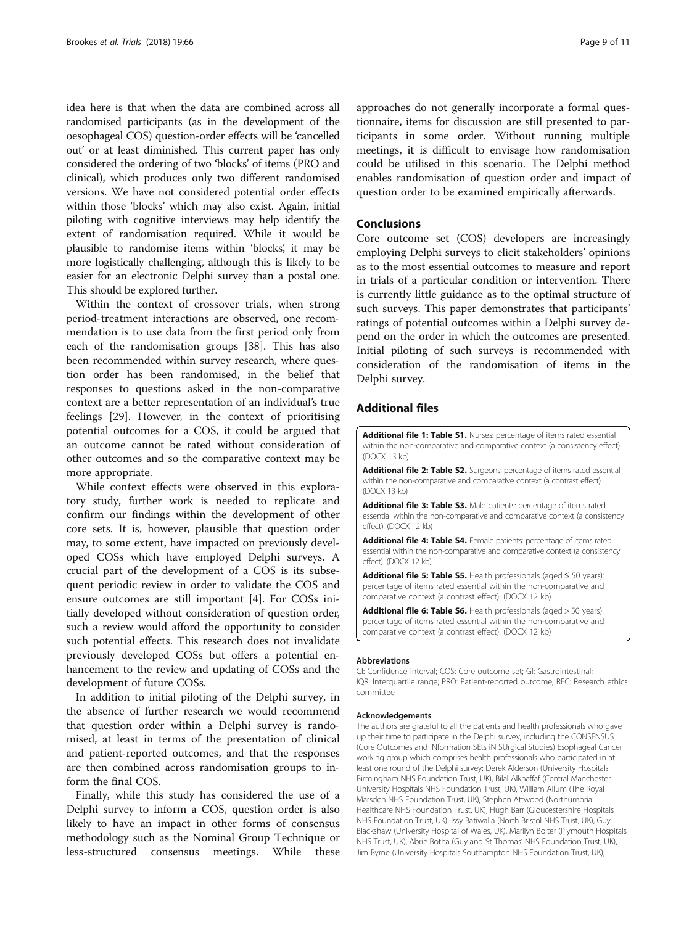<span id="page-8-0"></span>idea here is that when the data are combined across all randomised participants (as in the development of the oesophageal COS) question-order effects will be 'cancelled out' or at least diminished. This current paper has only considered the ordering of two 'blocks' of items (PRO and clinical), which produces only two different randomised versions. We have not considered potential order effects within those 'blocks' which may also exist. Again, initial piloting with cognitive interviews may help identify the extent of randomisation required. While it would be plausible to randomise items within 'blocks', it may be more logistically challenging, although this is likely to be easier for an electronic Delphi survey than a postal one. This should be explored further.

Within the context of crossover trials, when strong period-treatment interactions are observed, one recommendation is to use data from the first period only from each of the randomisation groups [\[38\]](#page-10-0). This has also been recommended within survey research, where question order has been randomised, in the belief that responses to questions asked in the non-comparative context are a better representation of an individual's true feelings [[29](#page-10-0)]. However, in the context of prioritising potential outcomes for a COS, it could be argued that an outcome cannot be rated without consideration of other outcomes and so the comparative context may be more appropriate.

While context effects were observed in this exploratory study, further work is needed to replicate and confirm our findings within the development of other core sets. It is, however, plausible that question order may, to some extent, have impacted on previously developed COSs which have employed Delphi surveys. A crucial part of the development of a COS is its subsequent periodic review in order to validate the COS and ensure outcomes are still important [\[4\]](#page-9-0). For COSs initially developed without consideration of question order, such a review would afford the opportunity to consider such potential effects. This research does not invalidate previously developed COSs but offers a potential enhancement to the review and updating of COSs and the development of future COSs.

In addition to initial piloting of the Delphi survey, in the absence of further research we would recommend that question order within a Delphi survey is randomised, at least in terms of the presentation of clinical and patient-reported outcomes, and that the responses are then combined across randomisation groups to inform the final COS.

Finally, while this study has considered the use of a Delphi survey to inform a COS, question order is also likely to have an impact in other forms of consensus methodology such as the Nominal Group Technique or less-structured consensus meetings. While these approaches do not generally incorporate a formal questionnaire, items for discussion are still presented to participants in some order. Without running multiple meetings, it is difficult to envisage how randomisation could be utilised in this scenario. The Delphi method enables randomisation of question order and impact of question order to be examined empirically afterwards.

## Conclusions

Core outcome set (COS) developers are increasingly employing Delphi surveys to elicit stakeholders' opinions as to the most essential outcomes to measure and report in trials of a particular condition or intervention. There is currently little guidance as to the optimal structure of such surveys. This paper demonstrates that participants' ratings of potential outcomes within a Delphi survey depend on the order in which the outcomes are presented. Initial piloting of such surveys is recommended with consideration of the randomisation of items in the Delphi survey.

## Additional files

[Additional file 1: Table S1.](dx.doi.org/10.1186/s13063-017-2405-6) Nurses: percentage of items rated essential within the non-comparative and comparative context (a consistency effect). (DOCX 13 kb)

[Additional file 2: Table S2.](dx.doi.org/10.1186/s13063-017-2405-6) Surgeons: percentage of items rated essential within the non-comparative and comparative context (a contrast effect). (DOCX 13 kb)

[Additional file 3: Table S3.](dx.doi.org/10.1186/s13063-017-2405-6) Male patients: percentage of items rated essential within the non-comparative and comparative context (a consistency effect). (DOCX 12 kb)

[Additional file 4: Table S4.](dx.doi.org/10.1186/s13063-017-2405-6) Female patients: percentage of items rated essential within the non-comparative and comparative context (a consistency effect). (DOCX 12 kb)

[Additional file 5: Table S5.](dx.doi.org/10.1186/s13063-017-2405-6) Health professionals (aged ≤ 50 years): percentage of items rated essential within the non-comparative and comparative context (a contrast effect). (DOCX 12 kb)

[Additional file 6: Table S6.](dx.doi.org/10.1186/s13063-017-2405-6) Health professionals (aged > 50 years): percentage of items rated essential within the non-comparative and comparative context (a contrast effect). (DOCX 12 kb)

#### Abbreviations

CI: Confidence interval; COS: Core outcome set; GI: Gastrointestinal; IQR: Interquartile range; PRO: Patient-reported outcome; REC: Research ethics committee

#### Acknowledgements

The authors are grateful to all the patients and health professionals who gave up their time to participate in the Delphi survey, including the CONSENSUS (Core Outcomes and iNformation SEts iN SUrgical Studies) Esophageal Cancer working group which comprises health professionals who participated in at least one round of the Delphi survey: Derek Alderson (University Hospitals Birmingham NHS Foundation Trust, UK), Bilal Alkhaffaf (Central Manchester University Hospitals NHS Foundation Trust, UK), William Allum (The Royal Marsden NHS Foundation Trust, UK), Stephen Attwood (Northumbria Healthcare NHS Foundation Trust, UK), Hugh Barr (Gloucestershire Hospitals NHS Foundation Trust, UK), Issy Batiwalla (North Bristol NHS Trust, UK), Guy Blackshaw (University Hospital of Wales, UK), Marilyn Bolter (Plymouth Hospitals NHS Trust, UK), Abrie Botha (Guy and St Thomas' NHS Foundation Trust, UK), Jim Byrne (University Hospitals Southampton NHS Foundation Trust, UK),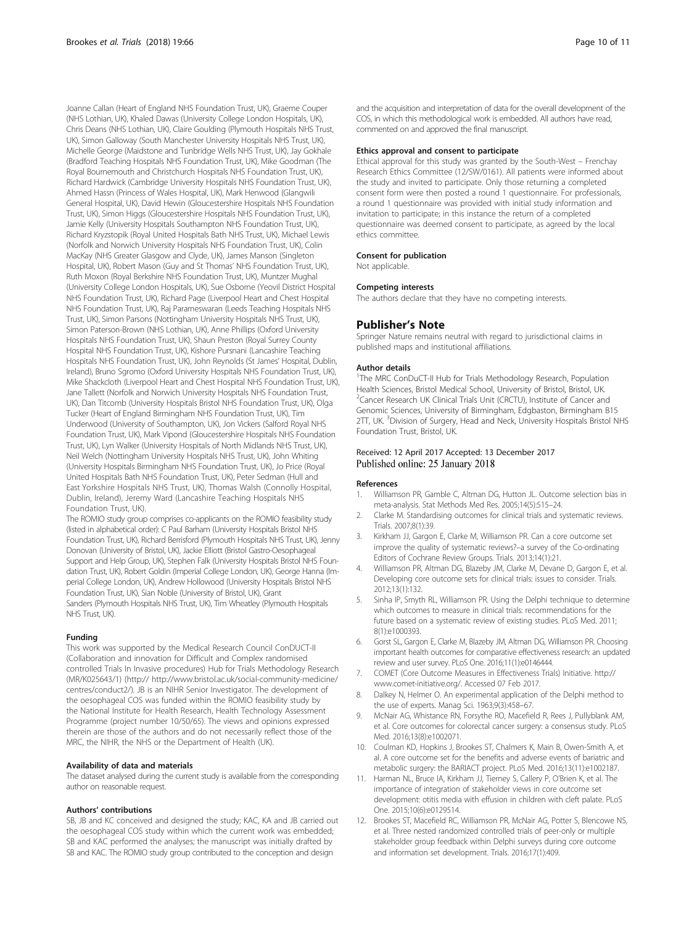<span id="page-9-0"></span>Joanne Callan (Heart of England NHS Foundation Trust, UK), Graeme Couper (NHS Lothian, UK), Khaled Dawas (University College London Hospitals, UK), Chris Deans (NHS Lothian, UK), Claire Goulding (Plymouth Hospitals NHS Trust, UK), Simon Galloway (South Manchester University Hospitals NHS Trust, UK), Michelle George (Maidstone and Tunbridge Wells NHS Trust, UK), Jay Gokhale (Bradford Teaching Hospitals NHS Foundation Trust, UK), Mike Goodman (The Royal Bournemouth and Christchurch Hospitals NHS Foundation Trust, UK), Richard Hardwick (Cambridge University Hospitals NHS Foundation Trust, UK), Ahmed Hassn (Princess of Wales Hospital, UK), Mark Henwood (Glangwili General Hospital, UK), David Hewin (Gloucestershire Hospitals NHS Foundation Trust, UK), Simon Higgs (Gloucestershire Hospitals NHS Foundation Trust, UK), Jamie Kelly (University Hospitals Southampton NHS Foundation Trust, UK), Richard Kryzstopik (Royal United Hospitals Bath NHS Trust, UK), Michael Lewis (Norfolk and Norwich University Hospitals NHS Foundation Trust, UK), Colin MacKay (NHS Greater Glasgow and Clyde, UK), James Manson (Singleton Hospital, UK), Robert Mason (Guy and St Thomas' NHS Foundation Trust, UK), Ruth Moxon (Royal Berkshire NHS Foundation Trust, UK), Muntzer Mughal (University College London Hospitals, UK), Sue Osborne (Yeovil District Hospital NHS Foundation Trust, UK), Richard Page (Liverpool Heart and Chest Hospital NHS Foundation Trust, UK), Raj Parameswaran (Leeds Teaching Hospitals NHS Trust, UK), Simon Parsons (Nottingham University Hospitals NHS Trust, UK), Simon Paterson-Brown (NHS Lothian, UK), Anne Phillips (Oxford University Hospitals NHS Foundation Trust, UK), Shaun Preston (Royal Surrey County Hospital NHS Foundation Trust, UK), Kishore Pursnani (Lancashire Teaching Hospitals NHS Foundation Trust, UK), John Reynolds (St James' Hospital, Dublin, Ireland), Bruno Sgromo (Oxford University Hospitals NHS Foundation Trust, UK), Mike Shackcloth (Liverpool Heart and Chest Hospital NHS Foundation Trust, UK), Jane Tallett (Norfolk and Norwich University Hospitals NHS Foundation Trust, UK), Dan Titcomb (University Hospitals Bristol NHS Foundation Trust, UK), Olga Tucker (Heart of England Birmingham NHS Foundation Trust, UK), Tim Underwood (University of Southampton, UK), Jon Vickers (Salford Royal NHS Foundation Trust, UK), Mark Vipond (Gloucestershire Hospitals NHS Foundation Trust, UK), Lyn Walker (University Hospitals of North Midlands NHS Trust, UK), Neil Welch (Nottingham University Hospitals NHS Trust, UK), John Whiting (University Hospitals Birmingham NHS Foundation Trust, UK), Jo Price (Royal United Hospitals Bath NHS Foundation Trust, UK), Peter Sedman (Hull and East Yorkshire Hospitals NHS Trust, UK), Thomas Walsh (Connolly Hospital, Dublin, Ireland), Jeremy Ward (Lancashire Teaching Hospitals NHS Foundation Trust, UK).

The ROMIO study group comprises co-applicants on the ROMIO feasibility study (listed in alphabetical order): C Paul Barham (University Hospitals Bristol NHS Foundation Trust, UK), Richard Berrisford (Plymouth Hospitals NHS Trust, UK), Jenny Donovan (University of Bristol, UK), Jackie Elliott (Bristol Gastro-Oesophageal Support and Help Group, UK), Stephen Falk (University Hospitals Bristol NHS Foundation Trust, UK), Robert Goldin (Imperial College London, UK), George Hanna (Imperial College London, UK), Andrew Hollowood (University Hospitals Bristol NHS Foundation Trust, UK), Sian Noble (University of Bristol, UK), Grant Sanders (Plymouth Hospitals NHS Trust, UK), Tim Wheatley (Plymouth Hospitals NHS Trust, UK).

#### Funding

This work was supported by the Medical Research Council ConDUCT-II (Collaboration and innovation for Difficult and Complex randomised controlled Trials In Invasive procedures) Hub for Trials Methodology Research (MR/K025643/1) (http:// [http://www.bristol.ac.uk/social-community-medicine/](http://www.bristol.ac.uk/social-community-medicine/centres/conduct2/) [centres/conduct2/\)](http://www.bristol.ac.uk/social-community-medicine/centres/conduct2/). JB is an NIHR Senior Investigator. The development of the oesophageal COS was funded within the ROMIO feasibility study by the National Institute for Health Research, Health Technology Assessment Programme (project number 10/50/65). The views and opinions expressed therein are those of the authors and do not necessarily reflect those of the MRC, the NIHR, the NHS or the Department of Health (UK).

#### Availability of data and materials

The dataset analysed during the current study is available from the corresponding author on reasonable request.

#### Authors' contributions

SB, JB and KC conceived and designed the study; KAC, KA and JB carried out the oesophageal COS study within which the current work was embedded; SB and KAC performed the analyses; the manuscript was initially drafted by SB and KAC. The ROMIO study group contributed to the conception and design

and the acquisition and interpretation of data for the overall development of the COS, in which this methodological work is embedded. All authors have read, commented on and approved the final manuscript.

#### Ethics approval and consent to participate

Ethical approval for this study was granted by the South-West – Frenchay Research Ethics Committee (12/SW/0161). All patients were informed about the study and invited to participate. Only those returning a completed consent form were then posted a round 1 questionnaire. For professionals, a round 1 questionnaire was provided with initial study information and invitation to participate; in this instance the return of a completed questionnaire was deemed consent to participate, as agreed by the local ethics committee.

### Consent for publication

Not applicable.

#### Competing interests

The authors declare that they have no competing interests.

#### Publisher's Note

Springer Nature remains neutral with regard to jurisdictional claims in published maps and institutional affiliations.

#### Author details

<sup>1</sup>The MRC ConDuCT-II Hub for Trials Methodology Research, Population Health Sciences, Bristol Medical School, University of Bristol, Bristol, UK. <sup>2</sup> Cancer Research UK Clinical Trials Unit (CRCTU), Institute of Cancer and Genomic Sciences, University of Birmingham, Edgbaston, Birmingham B15 2TT, UK. <sup>3</sup>Division of Surgery, Head and Neck, University Hospitals Bristol NHS Foundation Trust, Bristol, UK.

## Received: 12 April 2017 Accepted: 13 December 2017 Published online: 25 January 2018

#### References

- 1. Williamson PR, Gamble C, Altman DG, Hutton JL. Outcome selection bias in meta-analysis. Stat Methods Med Res. 2005;14(5):515–24.
- 2. Clarke M. Standardising outcomes for clinical trials and systematic reviews. Trials. 2007;8(1):39.
- 3. Kirkham JJ, Gargon E, Clarke M, Williamson PR. Can a core outcome set improve the quality of systematic reviews?–a survey of the Co-ordinating Editors of Cochrane Review Groups. Trials. 2013;14(1):21.
- 4. Williamson PR, Altman DG, Blazeby JM, Clarke M, Devane D, Gargon E, et al. Developing core outcome sets for clinical trials: issues to consider. Trials. 2012;13(1):132.
- Sinha IP, Smyth RL, Williamson PR. Using the Delphi technique to determine which outcomes to measure in clinical trials: recommendations for the future based on a systematic review of existing studies. PLoS Med. 2011; 8(1):e1000393.
- 6. Gorst SL, Gargon E, Clarke M, Blazeby JM, Altman DG, Williamson PR. Choosing important health outcomes for comparative effectiveness research: an updated review and user survey. PLoS One. 2016;11(1):e0146444.
- 7. COMET (Core Outcome Measures in Effectiveness Trials) Initiative. [http://](http://www.comet-initiative.org/) [www.comet-initiative.org/.](http://www.comet-initiative.org/) Accessed 07 Feb 2017.
- 8. Dalkey N, Helmer O. An experimental application of the Delphi method to the use of experts. Manag Sci. 1963;9(3):458–67.
- 9. McNair AG, Whistance RN, Forsythe RO, Macefield R, Rees J, Pullyblank AM, et al. Core outcomes for colorectal cancer surgery: a consensus study. PLoS Med. 2016;13(8):e1002071.
- 10. Coulman KD, Hopkins J, Brookes ST, Chalmers K, Main B, Owen-Smith A, et al. A core outcome set for the benefits and adverse events of bariatric and metabolic surgery: the BARIACT project. PLoS Med. 2016;13(11):e1002187.
- 11. Harman NL, Bruce IA, Kirkham JJ, Tierney S, Callery P, O'Brien K, et al. The importance of integration of stakeholder views in core outcome set development: otitis media with effusion in children with cleft palate. PLoS One. 2015;10(6):e0129514.
- 12. Brookes ST, Macefield RC, Williamson PR, McNair AG, Potter S, Blencowe NS, et al. Three nested randomized controlled trials of peer-only or multiple stakeholder group feedback within Delphi surveys during core outcome and information set development. Trials. 2016;17(1):409.